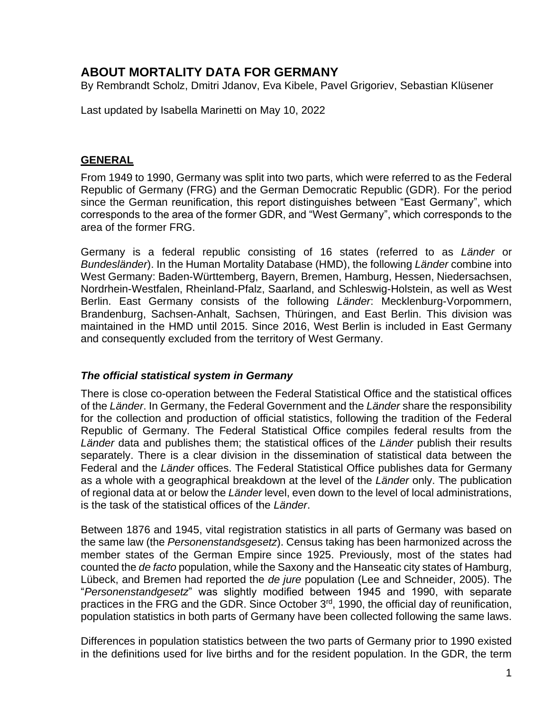# **ABOUT MORTALITY DATA FOR GERMANY**

By Rembrandt Scholz, Dmitri Jdanov, Eva Kibele, Pavel Grigoriev, Sebastian Klüsener

Last updated by Isabella Marinetti on May 10, 2022

## **GENERAL**

From 1949 to 1990, Germany was split into two parts, which were referred to as the Federal Republic of Germany (FRG) and the German Democratic Republic (GDR). For the period since the German reunification, this report distinguishes between "East Germany", which corresponds to the area of the former GDR, and "West Germany", which corresponds to the area of the former FRG.

Germany is a federal republic consisting of 16 states (referred to as *Länder* or *Bundesländer*). In the Human Mortality Database (HMD), the following *Länder* combine into West Germany: Baden-Württemberg, Bayern, Bremen, Hamburg, Hessen, Niedersachsen, Nordrhein-Westfalen, Rheinland-Pfalz, Saarland, and Schleswig-Holstein, as well as West Berlin. East Germany consists of the following *Länder*: Mecklenburg-Vorpommern, Brandenburg, Sachsen-Anhalt, Sachsen, Thüringen, and East Berlin. This division was maintained in the HMD until 2015. Since 2016, West Berlin is included in East Germany and consequently excluded from the territory of West Germany.

#### *The official statistical system in Germany*

There is close co-operation between the Federal Statistical Office and the statistical offices of the *Länder*. In Germany, the Federal Government and the *Länder* share the responsibility for the collection and production of official statistics, following the tradition of the Federal Republic of Germany. The Federal Statistical Office compiles federal results from the *Länder* data and publishes them; the statistical offices of the *Länder* publish their results separately. There is a clear division in the dissemination of statistical data between the Federal and the *Länder* offices. The Federal Statistical Office publishes data for Germany as a whole with a geographical breakdown at the level of the *Länder* only. The publication of regional data at or below the *Länder* level, even down to the level of local administrations, is the task of the statistical offices of the *Länder*.

Between 1876 and 1945, vital registration statistics in all parts of Germany was based on the same law (the *Personenstandsgesetz*). Census taking has been harmonized across the member states of the German Empire since 1925. Previously, most of the states had counted the *de facto* population, while the Saxony and the Hanseatic city states of Hamburg, Lübeck, and Bremen had reported the *de jure* population (Lee and Schneider, 2005). The "*Personenstandgesetz*" was slightly modified between 1945 and 1990, with separate practices in the FRG and the GDR. Since October 3<sup>rd</sup>, 1990, the official day of reunification, population statistics in both parts of Germany have been collected following the same laws.

Differences in population statistics between the two parts of Germany prior to 1990 existed in the definitions used for live births and for the resident population. In the GDR, the term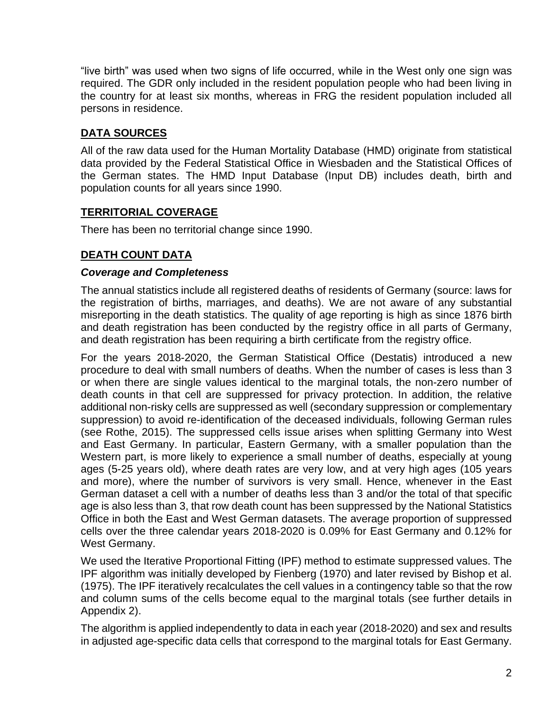"live birth" was used when two signs of life occurred, while in the West only one sign was required. The GDR only included in the resident population people who had been living in the country for at least six months, whereas in FRG the resident population included all persons in residence.

# **DATA SOURCES**

All of the raw data used for the Human Mortality Database (HMD) originate from statistical data provided by the Federal Statistical Office in Wiesbaden and the Statistical Offices of the German states. The HMD Input Database (Input DB) includes death, birth and population counts for all years since 1990.

## **TERRITORIAL COVERAGE**

There has been no territorial change since 1990.

## **DEATH COUNT DATA**

## *Coverage and Completeness*

The annual statistics include all registered deaths of residents of Germany (source: laws for the registration of births, marriages, and deaths). We are not aware of any substantial misreporting in the death statistics. The quality of age reporting is high as since 1876 birth and death registration has been conducted by the registry office in all parts of Germany, and death registration has been requiring a birth certificate from the registry office.

For the years 2018-2020, the German Statistical Office (Destatis) introduced a new procedure to deal with small numbers of deaths. When the number of cases is less than 3 or when there are single values identical to the marginal totals, the non-zero number of death counts in that cell are suppressed for privacy protection. In addition, the relative additional non-risky cells are suppressed as well (secondary suppression or complementary suppression) to avoid re-identification of the deceased individuals, following German rules (see Rothe, 2015). The suppressed cells issue arises when splitting Germany into West and East Germany. In particular, Eastern Germany, with a smaller population than the Western part, is more likely to experience a small number of deaths, especially at young ages (5-25 years old), where death rates are very low, and at very high ages (105 years and more), where the number of survivors is very small. Hence, whenever in the East German dataset a cell with a number of deaths less than 3 and/or the total of that specific age is also less than 3, that row death count has been suppressed by the National Statistics Office in both the East and West German datasets. The average proportion of suppressed cells over the three calendar years 2018-2020 is 0.09% for East Germany and 0.12% for West Germany.

We used the Iterative Proportional Fitting (IPF) method to estimate suppressed values. The IPF algorithm was initially developed by Fienberg (1970) and later revised by Bishop et al. (1975). The IPF iteratively recalculates the cell values in a contingency table so that the row and column sums of the cells become equal to the marginal totals (see further details in Appendix 2).

The algorithm is applied independently to data in each year (2018-2020) and sex and results in adjusted age-specific data cells that correspond to the marginal totals for East Germany.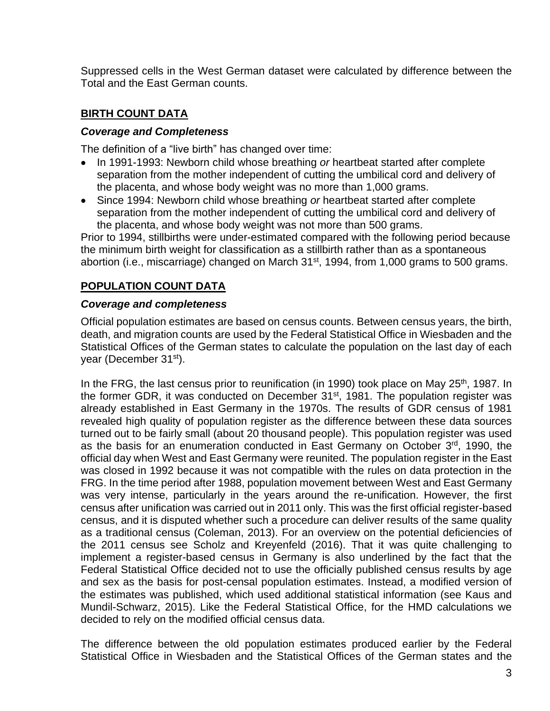Suppressed cells in the West German dataset were calculated by difference between the Total and the East German counts.

# **BIRTH COUNT DATA**

#### *Coverage and Completeness*

The definition of a "live birth" has changed over time:

- In 1991-1993: Newborn child whose breathing *or* heartbeat started after complete separation from the mother independent of cutting the umbilical cord and delivery of the placenta, and whose body weight was no more than 1,000 grams.
- Since 1994: Newborn child whose breathing *or* heartbeat started after complete separation from the mother independent of cutting the umbilical cord and delivery of the placenta, and whose body weight was not more than 500 grams.

Prior to 1994, stillbirths were under-estimated compared with the following period because the minimum birth weight for classification as a stillbirth rather than as a spontaneous abortion (i.e., miscarriage) changed on March 31<sup>st</sup>, 1994, from 1,000 grams to 500 grams.

## **POPULATION COUNT DATA**

#### *Coverage and completeness*

Official population estimates are based on census counts. Between census years, the birth, death, and migration counts are used by the Federal Statistical Office in Wiesbaden and the Statistical Offices of the German states to calculate the population on the last day of each year (December 31st).

In the FRG, the last census prior to reunification (in 1990) took place on May 25<sup>th</sup>, 1987. In the former GDR, it was conducted on December 31<sup>st</sup>, 1981. The population register was already established in East Germany in the 1970s. The results of GDR census of 1981 revealed high quality of population register as the difference between these data sources turned out to be fairly small (about 20 thousand people). This population register was used as the basis for an enumeration conducted in East Germany on October 3rd, 1990, the official day when West and East Germany were reunited. The population register in the East was closed in 1992 because it was not compatible with the rules on data protection in the FRG. In the time period after 1988, population movement between West and East Germany was very intense, particularly in the years around the re-unification. However, the first census after unification was carried out in 2011 only. This was the first official register-based census, and it is disputed whether such a procedure can deliver results of the same quality as a traditional census (Coleman, 2013). For an overview on the potential deficiencies of the 2011 census see Scholz and Kreyenfeld (2016). That it was quite challenging to implement a register-based census in Germany is also underlined by the fact that the Federal Statistical Office decided not to use the officially published census results by age and sex as the basis for post-censal population estimates. Instead, a modified version of the estimates was published, which used additional statistical information (see Kaus and Mundil-Schwarz, 2015). Like the Federal Statistical Office, for the HMD calculations we decided to rely on the modified official census data.

The difference between the old population estimates produced earlier by the Federal Statistical Office in Wiesbaden and the Statistical Offices of the German states and the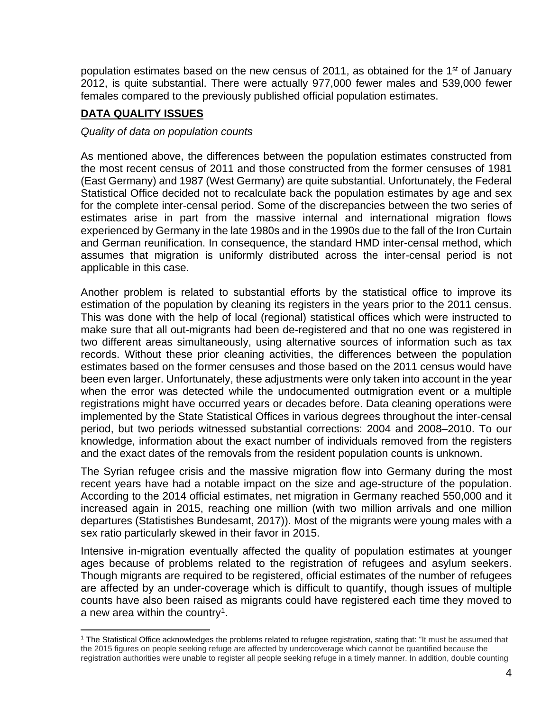population estimates based on the new census of 2011, as obtained for the 1<sup>st</sup> of January 2012, is quite substantial. There were actually 977,000 fewer males and 539,000 fewer females compared to the previously published official population estimates.

# **DATA QUALITY ISSUES**

#### *Quality of data on population counts*

As mentioned above, the differences between the population estimates constructed from the most recent census of 2011 and those constructed from the former censuses of 1981 (East Germany) and 1987 (West Germany) are quite substantial. Unfortunately, the Federal Statistical Office decided not to recalculate back the population estimates by age and sex for the complete inter-censal period. Some of the discrepancies between the two series of estimates arise in part from the massive internal and international migration flows experienced by Germany in the late 1980s and in the 1990s due to the fall of the Iron Curtain and German reunification. In consequence, the standard HMD inter-censal method, which assumes that migration is uniformly distributed across the inter-censal period is not applicable in this case.

Another problem is related to substantial efforts by the statistical office to improve its estimation of the population by cleaning its registers in the years prior to the 2011 census. This was done with the help of local (regional) statistical offices which were instructed to make sure that all out-migrants had been de-registered and that no one was registered in two different areas simultaneously, using alternative sources of information such as tax records. Without these prior cleaning activities, the differences between the population estimates based on the former censuses and those based on the 2011 census would have been even larger. Unfortunately, these adjustments were only taken into account in the year when the error was detected while the undocumented outmigration event or a multiple registrations might have occurred years or decades before. Data cleaning operations were implemented by the State Statistical Offices in various degrees throughout the inter-censal period, but two periods witnessed substantial corrections: 2004 and 2008–2010. To our knowledge, information about the exact number of individuals removed from the registers and the exact dates of the removals from the resident population counts is unknown.

The Syrian refugee crisis and the massive migration flow into Germany during the most recent years have had a notable impact on the size and age-structure of the population. According to the 2014 official estimates, net migration in Germany reached 550,000 and it increased again in 2015, reaching one million (with two million arrivals and one million departures (Statistishes Bundesamt, 2017)). Most of the migrants were young males with a sex ratio particularly skewed in their favor in 2015.

Intensive in-migration eventually affected the quality of population estimates at younger ages because of problems related to the registration of refugees and asylum seekers. Though migrants are required to be registered, official estimates of the number of refugees are affected by an under-coverage which is difficult to quantify, though issues of multiple counts have also been raised as migrants could have registered each time they moved to a new area within the country<sup>1</sup>.

<sup>1</sup> The Statistical Office acknowledges the problems related to refugee registration, stating that: "It must be assumed that the 2015 figures on people seeking refuge are affected by undercoverage which cannot be quantified because the registration authorities were unable to register all people seeking refuge in a timely manner. In addition, double counting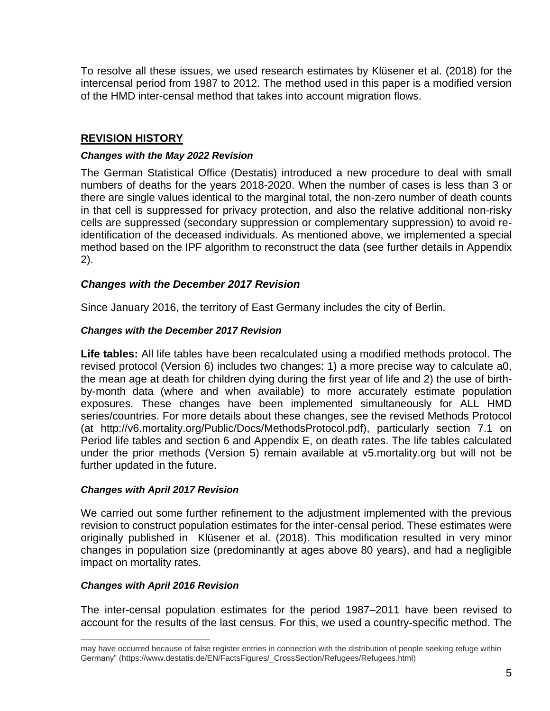To resolve all these issues, we used research estimates by Klüsener et al. (2018) for the intercensal period from 1987 to 2012. The method used in this paper is a modified version of the HMD inter-censal method that takes into account migration flows.

# **REVISION HISTORY**

#### *Changes with the May 2022 Revision*

The German Statistical Office (Destatis) introduced a new procedure to deal with small numbers of deaths for the years 2018-2020. When the number of cases is less than 3 or there are single values identical to the marginal total, the non-zero number of death counts in that cell is suppressed for privacy protection, and also the relative additional non-risky cells are suppressed (secondary suppression or complementary suppression) to avoid reidentification of the deceased individuals. As mentioned above, we implemented a special method based on the IPF algorithm to reconstruct the data (see further details in Appendix 2).

## *Changes with the December 2017 Revision*

Since January 2016, the territory of East Germany includes the city of Berlin.

#### *Changes with the December 2017 Revision*

**Life tables:** All life tables have been recalculated using a modified methods protocol. The revised protocol (Version 6) includes two changes: 1) a more precise way to calculate a0, the mean age at death for children dying during the first year of life and 2) the use of birthby-month data (where and when available) to more accurately estimate population exposures. These changes have been implemented simultaneously for ALL HMD series/countries. For more details about these changes, see the revised Methods Protocol (at http://v6.mortality.org/Public/Docs/MethodsProtocol.pdf), particularly section 7.1 on Period life tables and section 6 and Appendix E, on death rates. The life tables calculated under the prior methods (Version 5) remain available at v5.mortality.org but will not be further updated in the future.

#### *Changes with April 2017 Revision*

We carried out some further refinement to the adjustment implemented with the previous revision to construct population estimates for the inter-censal period. These estimates were originally published in Klüsener et al. (2018). This modification resulted in very minor changes in population size (predominantly at ages above 80 years), and had a negligible impact on mortality rates.

#### *Changes with April 2016 Revision*

The inter-censal population estimates for the period 1987–2011 have been revised to account for the results of the last census. For this, we used a country-specific method. The

may have occurred because of false register entries in connection with the distribution of people seeking refuge within Germany" (https://www.destatis.de/EN/FactsFigures/\_CrossSection/Refugees/Refugees.html)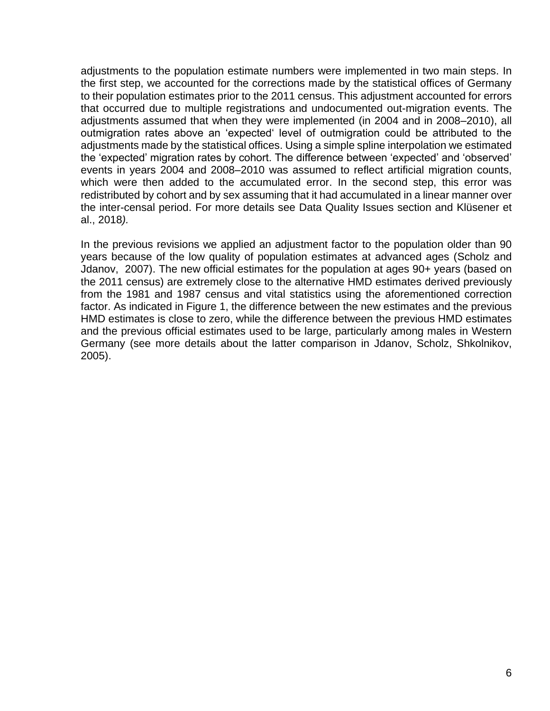adjustments to the population estimate numbers were implemented in two main steps. In the first step, we accounted for the corrections made by the statistical offices of Germany to their population estimates prior to the 2011 census. This adjustment accounted for errors that occurred due to multiple registrations and undocumented out-migration events. The adjustments assumed that when they were implemented (in 2004 and in 2008–2010), all outmigration rates above an 'expected' level of outmigration could be attributed to the adjustments made by the statistical offices. Using a simple spline interpolation we estimated the 'expected' migration rates by cohort. The difference between 'expected' and 'observed' events in years 2004 and 2008–2010 was assumed to reflect artificial migration counts, which were then added to the accumulated error. In the second step, this error was redistributed by cohort and by sex assuming that it had accumulated in a linear manner over the inter-censal period. For more details see Data Quality Issues section and Klüsener et al., 2018*).*

In the previous revisions we applied an adjustment factor to the population older than 90 years because of the low quality of population estimates at advanced ages (Scholz and [Jdanov,](http://www.demogr.mpg.de/cgi-bin/publications/list.plx?debug=0&listtype=-98&personalid=516&intranet=8e3u55z456) 2007). The new official estimates for the population at ages 90+ years (based on the 2011 census) are extremely close to the alternative HMD estimates derived previously from the 1981 and 1987 census and vital statistics using the aforementioned correction factor. As indicated in Figure 1, the difference between the new estimates and the previous HMD estimates is close to zero, while the difference between the previous HMD estimates and the previous official estimates used to be large, particularly among males in Western Germany (see more details about the latter comparison in Jdanov, Scholz, Shkolnikov, 2005).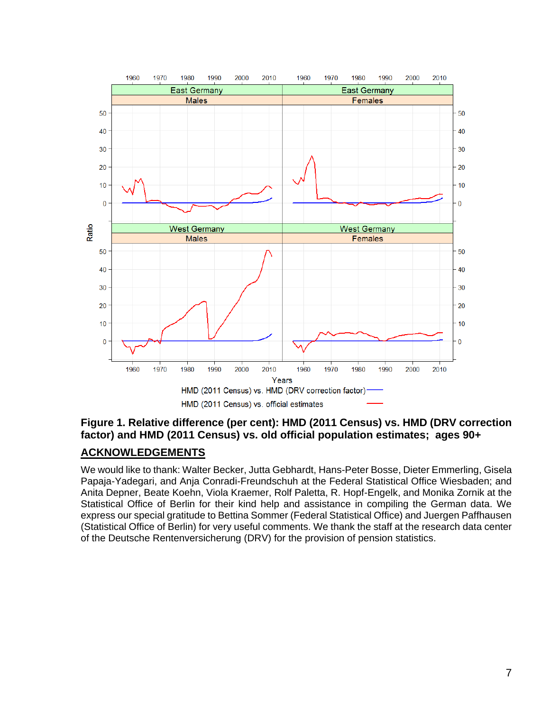

**Figure 1. Relative difference (per cent): HMD (2011 Census) vs. HMD (DRV correction factor) and HMD (2011 Census) vs. old official population estimates; ages 90+** 

## **ACKNOWLEDGEMENTS**

We would like to thank: Walter Becker, Jutta Gebhardt, Hans-Peter Bosse, Dieter Emmerling, Gisela Papaja-Yadegari, and Anja Conradi-Freundschuh at the Federal Statistical Office Wiesbaden; and Anita Depner, Beate Koehn, Viola Kraemer, Rolf Paletta, R. Hopf-Engelk, and Monika Zornik at the Statistical Office of Berlin for their kind help and assistance in compiling the German data. We express our special gratitude to Bettina Sommer (Federal Statistical Office) and Juergen Paffhausen (Statistical Office of Berlin) for very useful comments. We thank the staff at the research data center of the Deutsche Rentenversicherung (DRV) for the provision of pension statistics.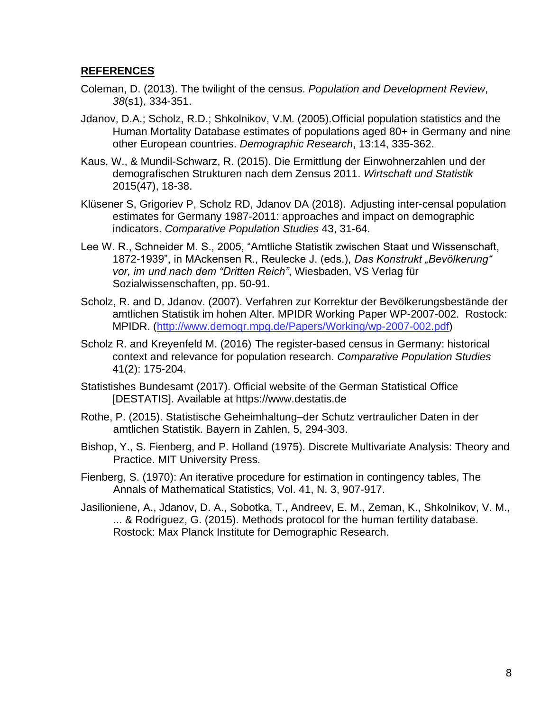## **REFERENCES**

- Coleman, D. (2013). The twilight of the census. *Population and Development Review*, *38*(s1), 334-351.
- [Jdanov, D.A.;](http://www.demogr.mpg.de/cgi-bin/publications/list.plx?debug=0&listtype=-98&personalid=516&intranet=8e3u55z456) Scholz, R.D.; [Shkolnikov, V.M.](http://www.demogr.mpg.de/cgi-bin/publications/list.plx?debug=0&listtype=-98&personalid=105&intranet=8e3u55z456) (2005)[.Official population statistics and the](http://www.demogr.mpg.de/cgi-bin/publications/paper.plx?debug=0&listtype=-98&personalid=663&pubid=1889&field1=&field2=&field3=&logic1=&logic2=&intranet=8e3u55z456)  [Human Mortality Database estimates of populations aged 80+ in Germany and nine](http://www.demogr.mpg.de/cgi-bin/publications/paper.plx?debug=0&listtype=-98&personalid=663&pubid=1889&field1=&field2=&field3=&logic1=&logic2=&intranet=8e3u55z456)  [other European countries.](http://www.demogr.mpg.de/cgi-bin/publications/paper.plx?debug=0&listtype=-98&personalid=663&pubid=1889&field1=&field2=&field3=&logic1=&logic2=&intranet=8e3u55z456) *Demographic Research*, 13:14, 335-362.
- Kaus, W., & Mundil-Schwarz, R. (2015). Die Ermittlung der Einwohnerzahlen und der demografischen Strukturen nach dem Zensus 2011. *Wirtschaft und Statistik* 2015(47), 18-38.
- Klüsener S, Grigoriev P, Scholz RD, Jdanov DA (2018). [Adjusting inter-censal population](https://intranet.demogr.mpg.de/cgi-bin/publications/pages.plx?id=9&pid=5735)  [estimates for Germany 1987-2011: approaches and impact on demographic](https://intranet.demogr.mpg.de/cgi-bin/publications/pages.plx?id=9&pid=5735)  [indicators.](https://intranet.demogr.mpg.de/cgi-bin/publications/pages.plx?id=9&pid=5735) *Comparative Population Studies* 43, 31-64.
- Lee W. R., Schneider M. S., 2005, "Amtliche Statistik zwischen Staat und Wissenschaft, 1872-1939", in MAckensen R., Reulecke J. (eds.), *Das Konstrukt "Bevölkerung" vor, im und nach dem "Dritten Reich"*, Wiesbaden, VS Verlag für Sozialwissenschaften, pp. 50-91.
- Scholz, R. and D. Jdanov. (2007). Verfahren zur Korrektur der Bevölkerungsbestände der amtlichen Statistik im hohen Alter. MPIDR Working Paper WP-2007-002. Rostock: MPIDR. [\(http://www.demogr.mpg.de/Papers/Working/wp-2007-002.pdf\)](http://www.demogr.mpg.de/Papers/Working/wp-2007-002.pdf)
- Scholz R. and Kreyenfeld M. (2016) [The register-based census in Germany: historical](https://intranet.demogr.mpg.de/cgi-bin/publications/pages.plx?id=9&pid=5668)  context and [relevance for population research.](https://intranet.demogr.mpg.de/cgi-bin/publications/pages.plx?id=9&pid=5668) *Comparative Population Studies* 41(2): 175-204.
- Statistishes Bundesamt (2017). Official website of the German Statistical Office [DESTATIS]. Available at https://www.destatis.de
- Rothe, P. (2015). Statistische Geheimhaltung–der Schutz vertraulicher Daten in der amtlichen Statistik. Bayern in Zahlen, 5, 294-303.
- Bishop, Y., S. Fienberg, and P. Holland (1975). Discrete Multivariate Analysis: Theory and Practice. MIT University Press.
- Fienberg, S. (1970): An iterative procedure for estimation in contingency tables, The Annals of Mathematical Statistics, Vol. 41, N. 3, 907-917.
- Jasilioniene, A., Jdanov, D. A., Sobotka, T., Andreev, E. M., Zeman, K., Shkolnikov, V. M., ... & Rodriguez, G. (2015). Methods protocol for the human fertility database. Rostock: Max Planck Institute for Demographic Research.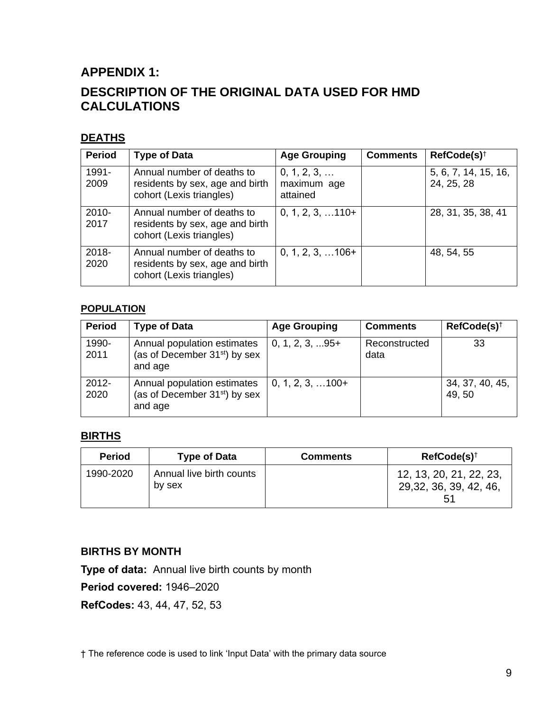# **APPENDIX 1: DESCRIPTION OF THE ORIGINAL DATA USED FOR HMD CALCULATIONS**

# **DEATHS**

| <b>Period</b> | <b>Type of Data</b>                                                                       | <b>Age Grouping</b>                    | <b>Comments</b> | RefCode(s) <sup>†</sup>            |
|---------------|-------------------------------------------------------------------------------------------|----------------------------------------|-----------------|------------------------------------|
| 1991-<br>2009 | Annual number of deaths to<br>residents by sex, age and birth<br>cohort (Lexis triangles) | 0, 1, 2, 3,<br>maximum age<br>attained |                 | 5, 6, 7, 14, 15, 16,<br>24, 25, 28 |
| 2010-<br>2017 | Annual number of deaths to<br>residents by sex, age and birth<br>cohort (Lexis triangles) | $0, 1, 2, 3, \ldots 110+$              |                 | 28, 31, 35, 38, 41                 |
| 2018-<br>2020 | Annual number of deaths to<br>residents by sex, age and birth<br>cohort (Lexis triangles) | $0, 1, 2, 3, \ldots 106+$              |                 | 48, 54, 55                         |

#### **POPULATION**

| <b>Period</b>    | <b>Type of Data</b>                                                                 | <b>Age Grouping</b>       | <b>Comments</b>       | $RefCode(s)^{+}$          |
|------------------|-------------------------------------------------------------------------------------|---------------------------|-----------------------|---------------------------|
| 1990-<br>2011    | Annual population estimates<br>(as of December 31 <sup>st</sup> ) by sex<br>and age | $0, 1, 2, 3, \ldots 95+$  | Reconstructed<br>data | 33                        |
| $2012 -$<br>2020 | Annual population estimates<br>(as of December 31 <sup>st</sup> ) by sex<br>and age | $0, 1, 2, 3, \ldots 100+$ |                       | 34, 37, 40, 45,<br>49, 50 |

# **BIRTHS**

| <b>Period</b> | <b>Type of Data</b>                | <b>Comments</b> | $RefCode(s)^{\dagger}$                                   |
|---------------|------------------------------------|-----------------|----------------------------------------------------------|
| 1990-2020     | Annual live birth counts<br>by sex |                 | 12, 13, 20, 21, 22, 23,<br>29, 32, 36, 39, 42, 46,<br>51 |

## **BIRTHS BY MONTH**

**Type of data:** Annual live birth counts by month

**Period covered:** 1946–2020

**RefCodes:** 43, 44, 47, 52, 53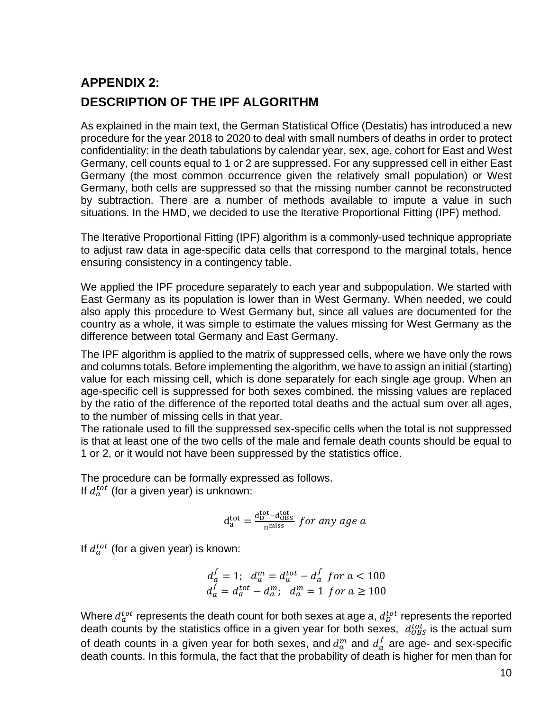# **APPENDIX 2: DESCRIPTION OF THE IPF ALGORITHM**

As explained in the main text, the German Statistical Office (Destatis) has introduced a new procedure for the year 2018 to 2020 to deal with small numbers of deaths in order to protect confidentiality: in the death tabulations by calendar year, sex, age, cohort for East and West Germany, cell counts equal to 1 or 2 are suppressed. For any suppressed cell in either East Germany (the most common occurrence given the relatively small population) or West Germany, both cells are suppressed so that the missing number cannot be reconstructed by subtraction. There are a number of methods available to impute a value in such situations. In the HMD, we decided to use the Iterative Proportional Fitting (IPF) method.

The Iterative Proportional Fitting (IPF) algorithm is a commonly-used technique appropriate to adjust raw data in age-specific data cells that correspond to the marginal totals, hence ensuring consistency in a contingency table.

We applied the IPF procedure separately to each year and subpopulation. We started with East Germany as its population is lower than in West Germany. When needed, we could also apply this procedure to West Germany but, since all values are documented for the country as a whole, it was simple to estimate the values missing for West Germany as the difference between total Germany and East Germany.

The IPF algorithm is applied to the matrix of suppressed cells, where we have only the rows and columns totals. Before implementing the algorithm, we have to assign an initial (starting) value for each missing cell, which is done separately for each single age group. When an age-specific cell is suppressed for both sexes combined, the missing values are replaced by the ratio of the difference of the reported total deaths and the actual sum over all ages, to the number of missing cells in that year.

The rationale used to fill the suppressed sex-specific cells when the total is not suppressed is that at least one of the two cells of the male and female death counts should be equal to 1 or 2, or it would not have been suppressed by the statistics office.

The procedure can be formally expressed as follows. If  $d_a^{tot}$  (for a given year) is unknown:

$$
d_a^{tot} = \frac{d_b^{tot} - d_{OBS}^{tot}}{n^{miss}} \text{ for any age } a
$$

If  $d_a^{tot}$  (for a given year) is known:

$$
d_a^f = 1; \quad d_a^m = d_a^{tot} - d_a^f \quad \text{for } a < 100
$$
\n
$$
d_a^f = d_a^{tot} - d_a^m; \quad d_a^m = 1 \quad \text{for } a \ge 100
$$

Where  $d_{a}^{tot}$  represents the death count for both sexes at age *a*,  $d_{D}^{tot}$  represents the reported death counts by the statistics office in a given year for both sexes,  $d_{\mathrm{OBS}}^{tot}$  is the actual sum of death counts in a given year for both sexes, and  $d_a^m$  and  $d_a^f$  are age- and sex-specific death counts. In this formula, the fact that the probability of death is higher for men than for